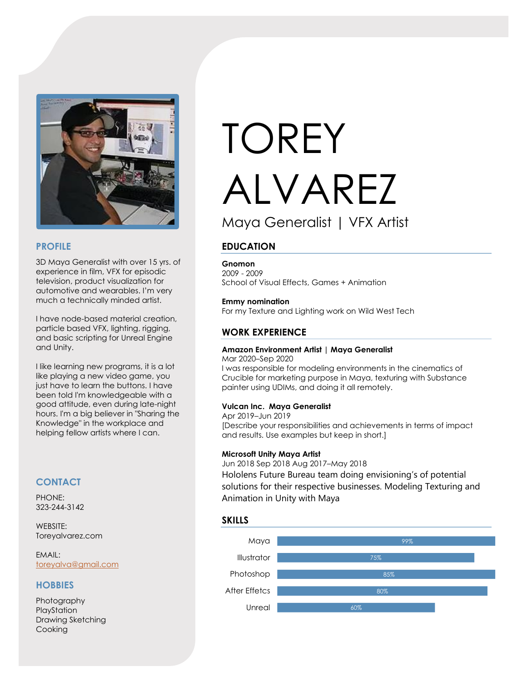

## **PROFILE**

3D Maya Generalist with over 15 yrs. of experience in film, VFX for episodic television, product visualization for automotive and wearables. I'm very much a technically minded artist.

I have node-based material creation, particle based VFX, lighting, rigging, and basic scripting for Unreal Engine and Unity.

I like learning new programs, it is a lot like playing a new video game, you just have to learn the buttons. I have been told I'm knowledgeable with a good attitude, even during late-night hours. I'm a big believer in "Sharing the Knowledge" in the workplace and helping fellow artists where I can.

# **CONTACT**

PHONE: 323-244-3142

WEBSITE: Toreyalvarez.com

EMAIL: [toreyalva@gmail.com](mailto:toreyalva@gmail.com)

# **HOBBIES**

Photography PlayStation Drawing Sketching Cooking

# TOREY ALVAREZ Maya Generalist | VFX Artist

# **EDUCATION**

#### **Gnomon**

2009 - 2009 School of Visual Effects, Games + Animation

#### **Emmy nomination** For my Texture and Lighting work on Wild West Tech

## **WORK EXPERIENCE**

#### **Amazon Environment Artist | Maya Generalist**

Mar 2020–Sep 2020 I was responsible for modeling environments in the cinematics of Crucible for marketing purpose in Maya, texturing with Substance painter using UDIMs, and doing it all remotely.

#### **Vulcan Inc. Maya Generalist**

Apr 2019–Jun 2019 [Describe your responsibilities and achievements in terms of impact and results. Use examples but keep in short.]

#### **Microsoft Unity Maya Artist**

Jun 2018 Sep 2018 Aug 2017–May 2018 Hololens Future Bureau team doing envisioning's of potential solutions for their respective businesses. Modeling Texturing and Animation in Unity with Maya

### **SKILLS**